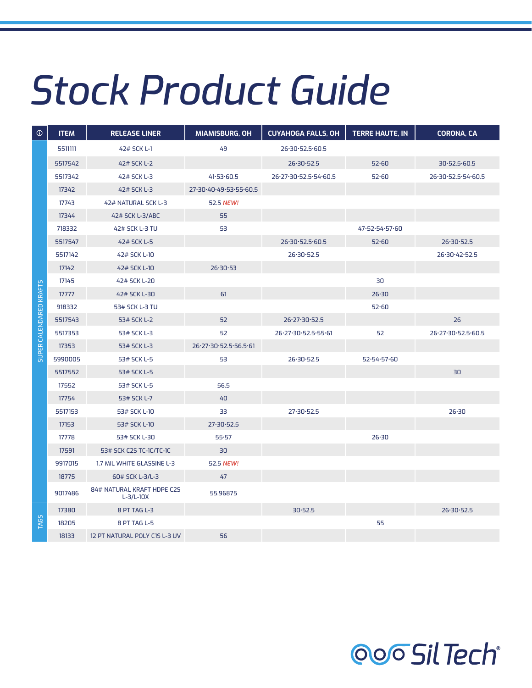## *Stock Product Guide*

| $\odot$                 | <b>ITEM</b> | <b>RELEASE LINER</b>                      | <b>MIAMISBURG, OH</b>  | <b>CUYAHOGA FALLS, OH</b> | <b>TERRE HAUTE, IN</b> | <b>CORONA, CA</b>  |
|-------------------------|-------------|-------------------------------------------|------------------------|---------------------------|------------------------|--------------------|
|                         | 5511111     | 42# SCK L-1                               | 49                     | 26.30.52.5.60.5           |                        |                    |
|                         | 5517542     | 42# SCK L-2                               |                        | 26.30.52.5                | 52.60                  | 30.52.5.60.5       |
|                         | 5517342     | 42# SCK L-3                               | 41.53.60.5             | 26.27.30.52.5.54.60.5     | 52.60                  | 26-30-52.5-54-60.5 |
|                         | 17342       | 42# SCK L-3                               | 27.30.40.49.53.55.60.5 |                           |                        |                    |
|                         | 17743       | 42# NATURAL SCK L-3                       | 52.5 NEW!              |                           |                        |                    |
|                         | 17344       | 42# SCK L-3/ABC                           | 55                     |                           |                        |                    |
|                         | 718332      | 42# SCK L-3 TU                            | 53                     |                           | 47.52.54.57.60         |                    |
|                         | 5517547     | 42# SCK L-5                               |                        | 26.30.52.5.60.5           | 52.60                  | 26.30.52.5         |
|                         | 5517142     | 42# SCK L-10                              |                        | 26.30.52.5                |                        | 26.30.42.52.5      |
|                         | 17142       | 42# SCK L-10                              | 26.30.53               |                           |                        |                    |
|                         | 17145       | 42# SCK L-20                              |                        |                           | 30                     |                    |
|                         | 17777       | 42# SCK L-30                              | 61                     |                           | 26.30                  |                    |
|                         | 918332      | 53# SCK L-3 TU                            |                        |                           | 52.60                  |                    |
| SUPER CALENDARED KRAFTS | 5517543     | 53# SCK L-2                               | 52                     | 26.27.30.52.5             |                        | 26                 |
|                         | 5517353     | 53# SCK L-3                               | 52                     | 26.27.30.52.5.55.61       | 52                     | 26-27-30-52.5-60.5 |
|                         | 17353       | 53# SCK L-3                               | 26-27-30-52.5-56.5-61  |                           |                        |                    |
|                         | 5990005     | 53# SCK L-5                               | 53                     | 26.30.52.5                | 52.54.57.60            |                    |
|                         | 5517552     | 53# SCK L-5                               |                        |                           |                        | 30                 |
|                         | 17552       | 53# SCK L-5                               | 56.5                   |                           |                        |                    |
|                         | 17754       | 53# SCK L-7                               | 40                     |                           |                        |                    |
|                         | 5517153     | 53# SCK L-10                              | 33                     | 27.30.52.5                |                        | 26.30              |
|                         | 17153       | 53# SCK L-10                              | 27.30.52.5             |                           |                        |                    |
|                         | 17778       | 53# SCK L-30                              | 55.57                  |                           | 26.30                  |                    |
|                         | 17591       | 53# SCK C2S TC-1C/TC-1C                   | 30                     |                           |                        |                    |
|                         | 9917015     | 1.7 MIL WHITE GLASSINE L-3                | 52.5 NEW!              |                           |                        |                    |
|                         | 18775       | 60# SCK L-3/L-3                           | 47                     |                           |                        |                    |
|                         | 9017486     | 84# NATURAL KRAFT HDPE C2S<br>$L-3/L-10X$ | 55.96875               |                           |                        |                    |
| <b>TAGS</b>             | 17380       | 8 PT TAG L-3                              |                        | 30.52.5                   |                        | 26.30.52.5         |
|                         | 18205       | 8 PT TAG L-5                              |                        |                           | 55                     |                    |
|                         | 18133       | 12 PT NATURAL POLY C15 L-3 UV             | 56                     |                           |                        |                    |